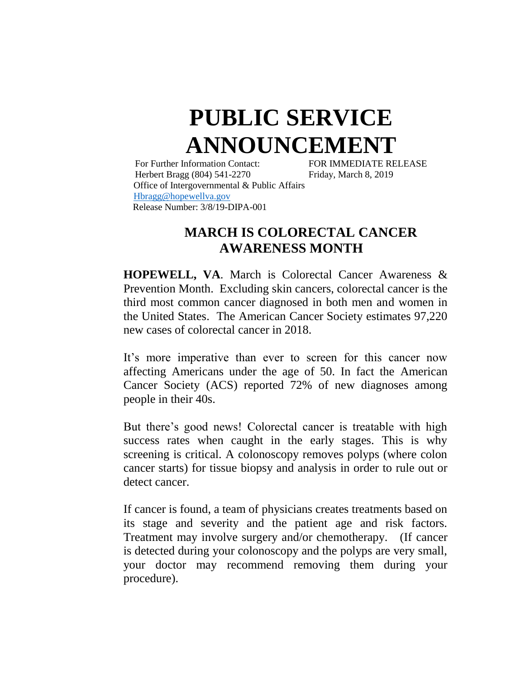## **PUBLIC SERVICE ANNOUNCEMENT**

For Further Information Contact: FOR IMMEDIATE RELEASE Herbert Bragg (804) 541-2270 Friday, March 8, 2019 Office of Intergovernmental & Public Affairs [Hbragg@hopewellva.gov](mailto:Hbragg@hopewellva.gov) Release Number: 3/8/19-DIPA-001

## **MARCH IS COLORECTAL CANCER AWARENESS MONTH**

**HOPEWELL, VA**. March is Colorectal Cancer Awareness & Prevention Month. Excluding skin cancers, colorectal cancer is the third most common cancer diagnosed in both men and women in the United States. The American Cancer Society estimates 97,220 new cases of colorectal cancer in 2018.

It's more imperative than ever to screen for this cancer now affecting Americans under the age of 50. In fact the American Cancer Society (ACS) reported 72% of new diagnoses among people in their 40s.

But there's good news! Colorectal cancer is treatable with high success rates when caught in the early stages. This is why screening is critical. A colonoscopy removes polyps (where colon cancer starts) for tissue biopsy and analysis in order to rule out or detect cancer.

If cancer is found, a team of physicians creates treatments based on its stage and severity and the patient age and risk factors. Treatment may involve surgery and/or chemotherapy. (If cancer is detected during your colonoscopy and the polyps are very small, your doctor may recommend removing them during your procedure).